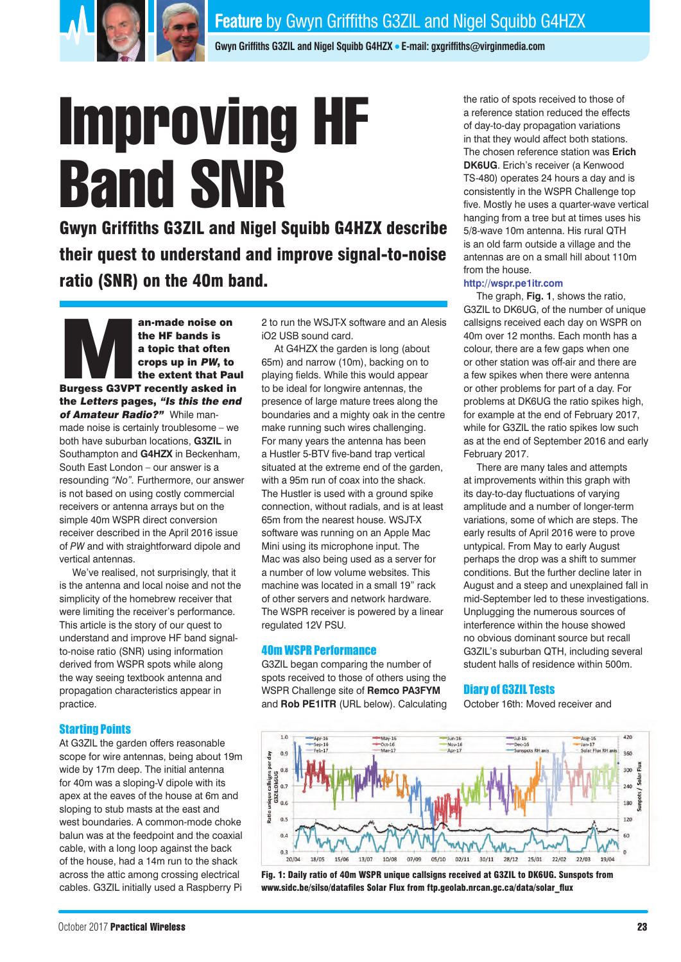

**Gwyn Griffiths G3ZIL and Nigel Squibb G4HZX** <sup>l</sup> **E-mail: gxgriffiths@virginmedia.com**

# Improving HF Band SNR

Gwyn Griffiths G3ZIL and Nigel Squibb G4HZX describe their quest to understand and improve signal-to-noise ratio (SNR) on the 40m band.

an-made noise on<br>the HF bands is<br>a topic that often<br>crops up in PW, to<br>the extent that Pau<br>Burgess G3VPT recently asked in the HF bands is a topic that often crops up in PW, to the extent that Paul the Letters pages, "Is this the end of Amateur Radio?" While manmade noise is certainly troublesome – we

both have suburban locations, **G3ZIL** in Southampton and **G4HZX** in Beckenham, South East London – our answer is a resounding *"No".* Furthermore, our answer is not based on using costly commercial receivers or antenna arrays but on the simple 40m WSPR direct conversion receiver described in the April 2016 issue of *PW* and with straightforward dipole and vertical antennas.

We've realised, not surprisingly, that it is the antenna and local noise and not the simplicity of the homebrew receiver that were limiting the receiver's performance. This article is the story of our quest to understand and improve HF band signalto-noise ratio (SNR) using information derived from WSPR spots while along the way seeing textbook antenna and propagation characteristics appear in practice.

# Starting Points

At G3ZIL the garden offers reasonable scope for wire antennas, being about 19m wide by 17m deep. The initial antenna for 40m was a sloping-V dipole with its apex at the eaves of the house at 6m and sloping to stub masts at the east and west boundaries. A common-mode choke balun was at the feedpoint and the coaxial cable, with a long loop against the back of the house, had a 14m run to the shack across the attic among crossing electrical cables. G3ZIL initially used a Raspberry Pi 2 to run the WSJT-X software and an Alesis iO2 USB sound card.

At G4HZX the garden is long (about 65m) and narrow (10m), backing on to playing fields. While this would appear to be ideal for longwire antennas, the presence of large mature trees along the boundaries and a mighty oak in the centre make running such wires challenging. For many years the antenna has been a Hustler 5-BTV five-band trap vertical situated at the extreme end of the garden, with a 95m run of coax into the shack. The Hustler is used with a ground spike connection, without radials, and is at least 65m from the nearest house. WSJT-X software was running on an Apple Mac Mini using its microphone input. The Mac was also being used as a server for a number of low volume websites. This machine was located in a small 19" rack of other servers and network hardware. The WSPR receiver is powered by a linear regulated 12V PSU.

### 40m WSPR Performance

G3ZIL began comparing the number of spots received to those of others using the WSPR Challenge site of **Remco PA3FYM** and **Rob PE1ITR** (URL below). Calculating the ratio of spots received to those of a reference station reduced the effects of day-to-day propagation variations in that they would affect both stations. The chosen reference station was **Erich DK6UG**. Erich's receiver (a Kenwood TS-480) operates 24 hours a day and is consistently in the WSPR Challenge top five. Mostly he uses a quarter-wave vertical hanging from a tree but at times uses his 5/8-wave 10m antenna. His rural QTH is an old farm outside a village and the antennas are on a small hill about 110m from the house.

### **http://wspr.pe1itr.com**

The graph, **Fig. 1**, shows the ratio, G3ZIL to DK6UG, of the number of unique callsigns received each day on WSPR on 40m over 12 months. Each month has a colour, there are a few gaps when one or other station was off-air and there are a few spikes when there were antenna or other problems for part of a day. For problems at DK6UG the ratio spikes high, for example at the end of February 2017, while for G3ZIL the ratio spikes low such as at the end of September 2016 and early February 2017.

There are many tales and attempts at improvements within this graph with its day-to-day fluctuations of varying amplitude and a number of longer-term variations, some of which are steps. The early results of April 2016 were to prove untypical. From May to early August perhaps the drop was a shift to summer conditions. But the further decline later in August and a steep and unexplained fall in mid-September led to these investigations. Unplugging the numerous sources of interference within the house showed no obvious dominant source but recall G3ZIL's suburban QTH, including several student halls of residence within 500m.

# Diary of G3ZIL Tests

October 16th: Moved receiver and



Fig. 1: Daily ratio of 40m WSPR unique callsigns received at G3ZIL to DK6UG. Sunspots from www.sidc.be/silso/datafiles Solar Flux from ftp.geolab.nrcan.gc.ca/data/solar\_flux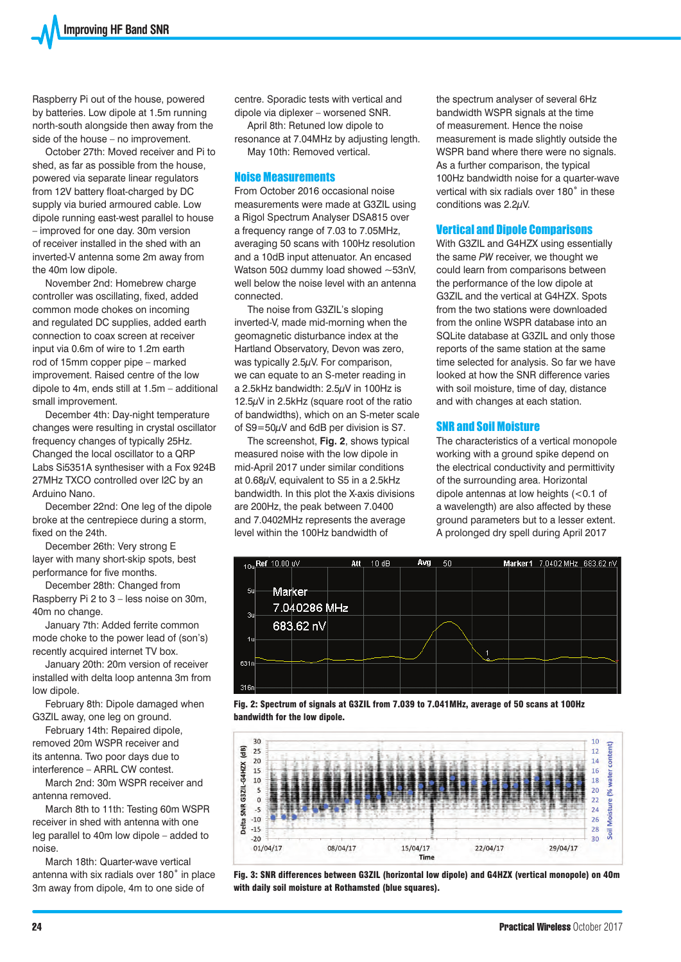Raspberry Pi out of the house, powered by batteries. Low dipole at 1.5m running north-south alongside then away from the side of the house – no improvement.

October 27th: Moved receiver and Pi to shed, as far as possible from the house, powered via separate linear regulators from 12V battery float-charged by DC supply via buried armoured cable. Low dipole running east-west parallel to house – improved for one day. 30m version of receiver installed in the shed with an inverted-V antenna some 2m away from the 40m low dipole.

November 2nd: Homebrew charge controller was oscillating, fixed, added common mode chokes on incoming and regulated DC supplies, added earth connection to coax screen at receiver input via 0.6m of wire to 1.2m earth rod of 15mm copper pipe – marked improvement. Raised centre of the low dipole to 4m, ends still at 1.5m – additional small improvement.

December 4th: Day-night temperature changes were resulting in crystal oscillator frequency changes of typically 25Hz. Changed the local oscillator to a QRP Labs Si5351A synthesiser with a Fox 924B 27MHz TXCO controlled over I2C by an Arduino Nano.

December 22nd: One leg of the dipole broke at the centrepiece during a storm, fixed on the 24th.

December 26th: Very strong E layer with many short-skip spots, best performance for five months.

December 28th: Changed from Raspberry Pi 2 to 3 – less noise on 30m, 40m no change.

January 7th: Added ferrite common mode choke to the power lead of (son's) recently acquired internet TV box.

January 20th: 20m version of receiver installed with delta loop antenna 3m from low dipole.

February 8th: Dipole damaged when G3ZIL away, one leg on ground.

February 14th: Repaired dipole, removed 20m WSPR receiver and its antenna. Two poor days due to interference – ARRL CW contest.

March 2nd: 30m WSPR receiver and antenna removed.

March 8th to 11th: Testing 60m WSPR receiver in shed with antenna with one leg parallel to 40m low dipole – added to noise.

March 18th: Quarter-wave vertical antenna with six radials over 180˚ in place 3m away from dipole, 4m to one side of

centre. Sporadic tests with vertical and dipole via diplexer – worsened SNR.

April 8th: Retuned low dipole to resonance at 7.04MHz by adjusting length. May 10th: Removed vertical.

### Noise Measurements

From October 2016 occasional noise measurements were made at G3ZIL using a Rigol Spectrum Analyser DSA815 over a frequency range of 7.03 to 7.05MHz, averaging 50 scans with 100Hz resolution and a 10dB input attenuator. An encased Watson 50Ω dummy load showed ~53nV, well below the noise level with an antenna connected.

The noise from G3ZIL's sloping inverted-V, made mid-morning when the geomagnetic disturbance index at the Hartland Observatory, Devon was zero, was typically 2.5µV. For comparison, we can equate to an S-meter reading in a 2.5kHz bandwidth: 2.5µV in 100Hz is 12.5µV in 2.5kHz (square root of the ratio of bandwidths), which on an S-meter scale of S9=50µV and 6dB per division is S7.

The screenshot, **Fig. 2**, shows typical measured noise with the low dipole in mid-April 2017 under similar conditions at 0.68µV, equivalent to S5 in a 2.5kHz bandwidth. In this plot the X-axis divisions are 200Hz, the peak between 7.0400 and 7.0402MHz represents the average level within the 100Hz bandwidth of

the spectrum analyser of several 6Hz bandwidth WSPR signals at the time of measurement. Hence the noise measurement is made slightly outside the WSPR band where there were no signals. As a further comparison, the typical 100Hz bandwidth noise for a quarter-wave vertical with six radials over 180˚ in these conditions was 2.2µV.

### Vertical and Dipole Comparisons

With G3ZIL and G4HZX using essentially the same *PW* receiver, we thought we could learn from comparisons between the performance of the low dipole at G3ZIL and the vertical at G4HZX. Spots from the two stations were downloaded from the online WSPR database into an SQLite database at G3ZIL and only those reports of the same station at the same time selected for analysis. So far we have looked at how the SNR difference varies with soil moisture, time of day, distance and with changes at each station.

## SNR and Soil Moisture

The characteristics of a vertical monopole working with a ground spike depend on the electrical conductivity and permittivity of the surrounding area. Horizontal dipole antennas at low heights (<0.1 of a wavelength) are also affected by these ground parameters but to a lesser extent. A prolonged dry spell during April 2017



Fig. 2: Spectrum of signals at G3ZIL from 7.039 to 7.041MHz, average of 50 scans at 100Hz bandwidth for the low dipole.



Fig. 3: SNR differences between G3ZIL (horizontal low dipole) and G4HZX (vertical monopole) on 40m with daily soil moisture at Rothamsted (blue squares).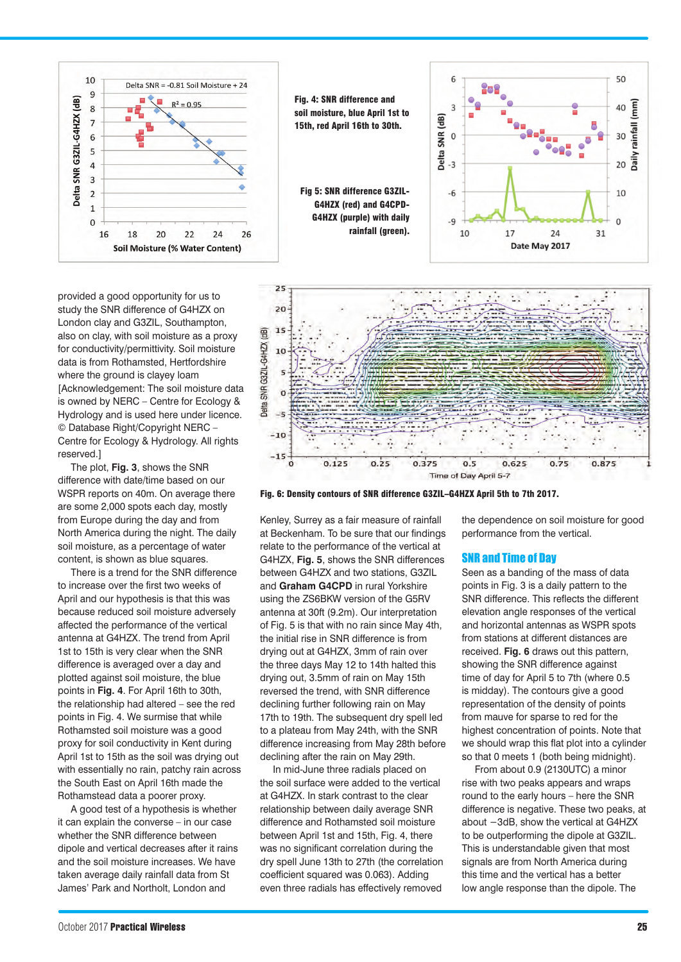

provided a good opportunity for us to study the SNR difference of G4HZX on London clay and G3ZIL, Southampton, also on clay, with soil moisture as a proxy for conductivity/permittivity. Soil moisture data is from Rothamsted, Hertfordshire where the ground is clayey loam [Acknowledgement: The soil moisture data is owned by NERC – Centre for Ecology & Hydrology and is used here under licence. © Database Right/Copyright NERC – Centre for Ecology & Hydrology. All rights reserved.]

The plot, **Fig. 3**, shows the SNR difference with date/time based on our WSPR reports on 40m. On average there are some 2,000 spots each day, mostly from Europe during the day and from North America during the night. The daily soil moisture, as a percentage of water content, is shown as blue squares.

There is a trend for the SNR difference to increase over the first two weeks of April and our hypothesis is that this was because reduced soil moisture adversely affected the performance of the vertical antenna at G4HZX. The trend from April 1st to 15th is very clear when the SNR difference is averaged over a day and plotted against soil moisture, the blue points in **Fig. 4**. For April 16th to 30th, the relationship had altered – see the red points in Fig. 4. We surmise that while Rothamsted soil moisture was a good proxy for soil conductivity in Kent during April 1st to 15th as the soil was drying out with essentially no rain, patchy rain across the South East on April 16th made the Rothamstead data a poorer proxy.

A good test of a hypothesis is whether it can explain the converse – in our case whether the SNR difference between dipole and vertical decreases after it rains and the soil moisture increases. We have taken average daily rainfall data from St James' Park and Northolt, London and





Fig. 6: Density contours of SNR difference G3ZIL–G4HZX April 5th to 7th 2017.

Kenley, Surrey as a fair measure of rainfall at Beckenham. To be sure that our findings relate to the performance of the vertical at G4HZX, **Fig. 5**, shows the SNR differences between G4HZX and two stations, G3ZIL and **Graham G4CPD** in rural Yorkshire using the ZS6BKW version of the G5RV antenna at 30ft (9.2m). Our interpretation of Fig. 5 is that with no rain since May 4th, the initial rise in SNR difference is from drying out at G4HZX, 3mm of rain over the three days May 12 to 14th halted this drying out, 3.5mm of rain on May 15th reversed the trend, with SNR difference declining further following rain on May 17th to 19th. The subsequent dry spell led to a plateau from May 24th, with the SNR difference increasing from May 28th before declining after the rain on May 29th.

In mid-June three radials placed on the soil surface were added to the vertical at G4HZX. In stark contrast to the clear relationship between daily average SNR difference and Rothamsted soil moisture between April 1st and 15th, Fig. 4, there was no significant correlation during the dry spell June 13th to 27th (the correlation coefficient squared was 0.063). Adding even three radials has effectively removed

the dependence on soil moisture for good performance from the vertical.

### SNR and Time of Day

Seen as a banding of the mass of data points in Fig. 3 is a daily pattern to the SNR difference. This reflects the different elevation angle responses of the vertical and horizontal antennas as WSPR spots from stations at different distances are received. **Fig. 6** draws out this pattern, showing the SNR difference against time of day for April 5 to 7th (where 0.5 is midday). The contours give a good representation of the density of points from mauve for sparse to red for the highest concentration of points. Note that we should wrap this flat plot into a cylinder so that 0 meets 1 (both being midnight).

From about 0.9 (2130UTC) a minor rise with two peaks appears and wraps round to the early hours – here the SNR difference is negative. These two peaks, at about −3dB, show the vertical at G4HZX to be outperforming the dipole at G3ZIL. This is understandable given that most signals are from North America during this time and the vertical has a better low angle response than the dipole. The